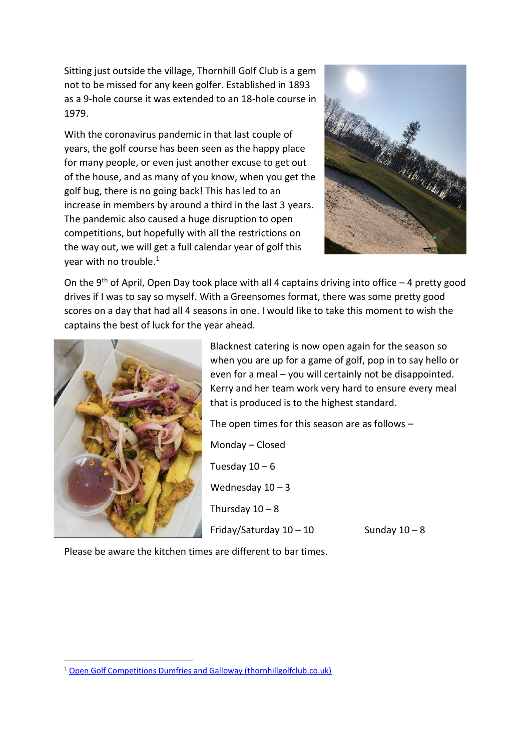Sitting just outside the village, Thornhill Golf Club is a gem not to be missed for any keen golfer. Established in 1893 as a 9-hole course it was extended to an 18-hole course in 1979.

With the coronavirus pandemic in that last couple of years, the golf course has been seen as the happy place for many people, or even just another excuse to get out of the house, and as many of you know, when you get the golf bug, there is no going back! This has led to an increase in members by around a third in the last 3 years. The pandemic also caused a huge disruption to open competitions, but hopefully with all the restrictions on the way out, we will get a full calendar year of golf this year with no trouble.<sup>1</sup>



On the 9<sup>th</sup> of April, Open Day took place with all 4 captains driving into office  $-$  4 pretty good drives if I was to say so myself. With a Greensomes format, there was some pretty good scores on a day that had all 4 seasons in one. I would like to take this moment to wish the captains the best of luck for the year ahead.



Blacknest catering is now open again for the season so when you are up for a game of golf, pop in to say hello or even for a meal – you will certainly not be disappointed. Kerry and her team work very hard to ensure every meal that is produced is to the highest standard.

The open times for this season are as follows –

Monday – Closed Tuesday  $10 - 6$ Wednesday  $10 - 3$ Thursday  $10 - 8$ Friday/Saturday  $10 - 10$  Sunday  $10 - 8$ 

Please be aware the kitchen times are different to bar times.

<sup>1</sup> [Open Golf Competitions Dumfries and Galloway \(thornhillgolfclub.co.uk\)](https://www.thornhillgolfclub.co.uk/comps/)